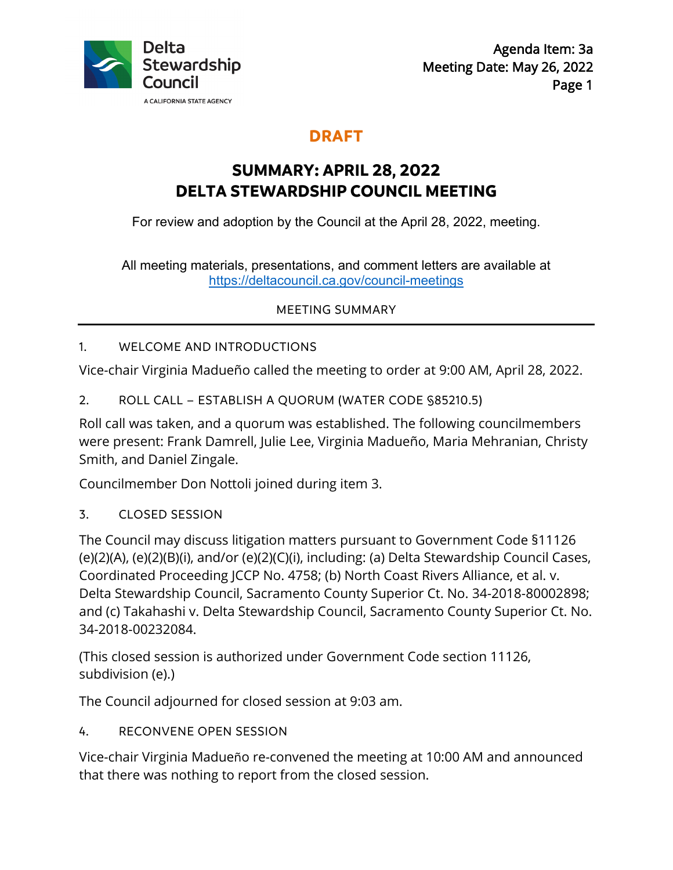

## **DRAFT**

# **SUMMARY: APRIL 28, 2022 DELTA STEWARDSHIP COUNCIL MEETING**

For review and adoption by the Council at the April 28, 2022, meeting.

All meeting materials, presentations, and comment letters are available at <https://deltacouncil.ca.gov/council-meetings>

MEETING SUMMARY

#### 1. WELCOME AND INTRODUCTIONS

Vice-chair Virginia Madueño called the meeting to order at 9:00 AM, April 28, 2022.

2. ROLL CALL – ESTABLISH A QUORUM (WATER CODE §85210.5)

Roll call was taken, and a quorum was established. The following councilmembers were present: Frank Damrell, Julie Lee, Virginia Madueño, Maria Mehranian, Christy Smith, and Daniel Zingale.

Councilmember Don Nottoli joined during item 3.

3. CLOSED SESSION

The Council may discuss litigation matters pursuant to Government Code §11126 (e)(2)(A), (e)(2)(B)(i), and/or (e)(2)(C)(i), including: (a) Delta Stewardship Council Cases, Coordinated Proceeding JCCP No. 4758; (b) North Coast Rivers Alliance, et al. v. Delta Stewardship Council, Sacramento County Superior Ct. No. 34-2018-80002898; and (c) Takahashi v. Delta Stewardship Council, Sacramento County Superior Ct. No. 34-2018-00232084.

(This closed session is authorized under Government Code section 11126, subdivision (e).)

The Council adjourned for closed session at 9:03 am.

4. RECONVENE OPEN SESSION

Vice-chair Virginia Madueño re-convened the meeting at 10:00 AM and announced that there was nothing to report from the closed session.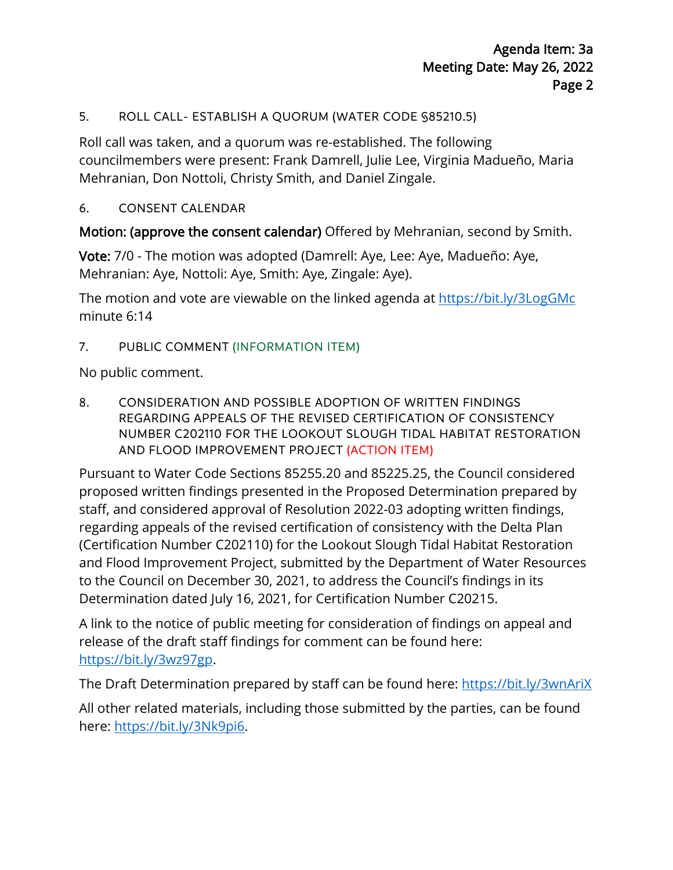#### 5. ROLL CALL- ESTABLISH A QUORUM (WATER CODE §85210.5)

Roll call was taken, and a quorum was re-established. The following councilmembers were present: Frank Damrell, Julie Lee, Virginia Madueño, Maria Mehranian, Don Nottoli, Christy Smith, and Daniel Zingale.

#### 6. CONSENT CALENDAR

Motion: (approve the consent calendar) Offered by Mehranian, second by Smith.

Vote: 7/0 - The motion was adopted (Damrell: Aye, Lee: Aye, Madueño: Aye, Mehranian: Aye, Nottoli: Aye, Smith: Aye, Zingale: Aye).

The motion and vote are viewable on the linked agenda at <https://bit.ly/3LogGMc> minute 6:14

#### 7. PUBLIC COMMENT (INFORMATION ITEM)

No public comment.

8. CONSIDERATION AND POSSIBLE ADOPTION OF WRITTEN FINDINGS REGARDING APPEALS OF THE REVISED CERTIFICATION OF CONSISTENCY NUMBER C202110 FOR THE LOOKOUT SLOUGH TIDAL HABITAT RESTORATION AND FLOOD IMPROVEMENT PROJECT (ACTION ITEM)

Pursuant to Water Code Sections 85255.20 and 85225.25, the Council considered proposed written findings presented in the Proposed Determination prepared by staff, and considered approval of Resolution 2022-03 adopting written findings, regarding appeals of the revised certification of consistency with the Delta Plan (Certification Number C202110) for the Lookout Slough Tidal Habitat Restoration and Flood Improvement Project, submitted by the Department of Water Resources to the Council on December 30, 2021, to address the Council's findings in its Determination dated July 16, 2021, for Certification Number C20215.

A link to the notice of public meeting for consideration of findings on appeal and release of the draft staff findings for comment can be found here: [https://bit.ly/3wz97gp.](https://bit.ly/3wz97gp)

The Draft Determination prepared by staff can be found here: https://bit.ly/3wnAriX

All other related materials, including those submitted by the parties, can be found here: [https://bit.ly/3Nk9pi6.](https://bit.ly/3Nk9pi6)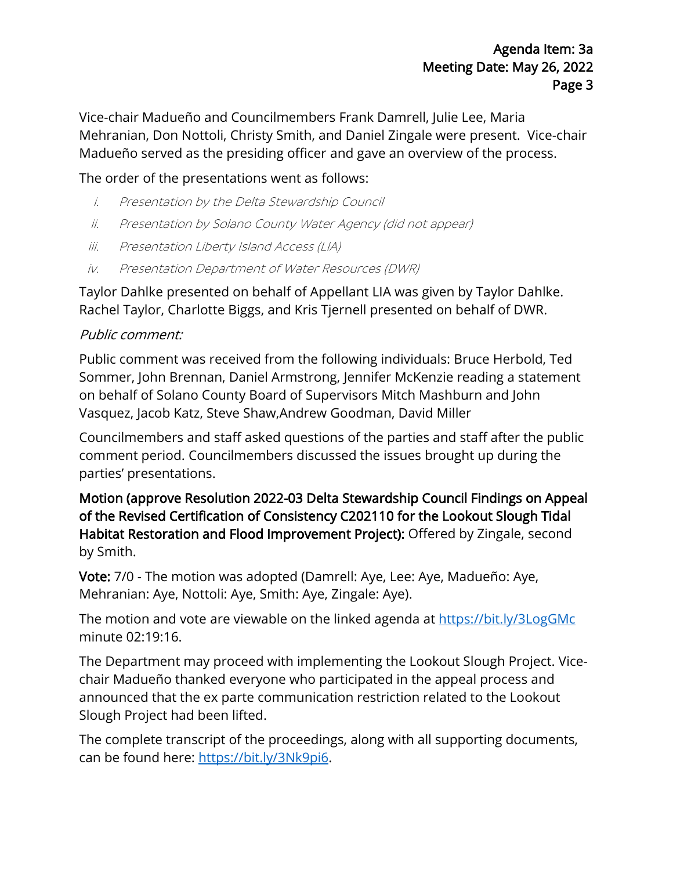Vice-chair Madueño and Councilmembers Frank Damrell, Julie Lee, Maria Mehranian, Don Nottoli, Christy Smith, and Daniel Zingale were present. Vice-chair Madueño served as the presiding officer and gave an overview of the process.

### The order of the presentations went as follows:

- i. Presentation by the Delta Stewardship Council
- ii. Presentation by Solano County Water Agency (did not appear)
- iii. Presentation Liberty Island Access (LIA)
- iv. Presentation Department of Water Resources (DWR)

Taylor Dahlke presented on behalf of Appellant LIA was given by Taylor Dahlke. Rachel Taylor, Charlotte Biggs, and Kris Tjernell presented on behalf of DWR.

#### Public comment:

Public comment was received from the following individuals: Bruce Herbold, Ted Sommer, John Brennan, Daniel Armstrong, Jennifer McKenzie reading a statement on behalf of Solano County Board of Supervisors Mitch Mashburn and John Vasquez, Jacob Katz, Steve Shaw,Andrew Goodman, David Miller

Councilmembers and staff asked questions of the parties and staff after the public comment period. Councilmembers discussed the issues brought up during the parties' presentations.

Motion (approve Resolution 2022-03 Delta Stewardship Council Findings on Appeal of the Revised Certification of Consistency C202110 for the Lookout Slough Tidal Habitat Restoration and Flood Improvement Project): Offered by Zingale, second by Smith.

Vote: 7/0 - The motion was adopted (Damrell: Aye, Lee: Aye, Madueño: Aye, Mehranian: Aye, Nottoli: Aye, Smith: Aye, Zingale: Aye).

The motion and vote are viewable on the linked agenda at<https://bit.ly/3LogGMc> minute 02:19:16.

The Department may proceed with implementing the Lookout Slough Project. Vicechair Madueño thanked everyone who participated in the appeal process and announced that the ex parte communication restriction related to the Lookout Slough Project had been lifted.

The complete transcript of the proceedings, along with all supporting documents, can be found here: [https://bit.ly/3Nk9pi6.](https://bit.ly/3Nk9pi6)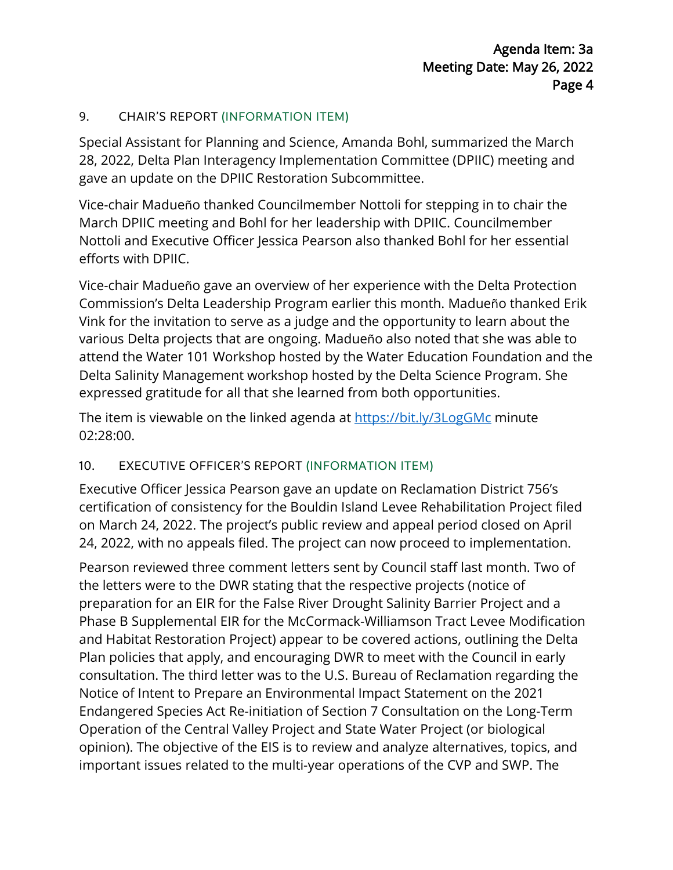#### 9. CHAIR'S REPORT (INFORMATION ITEM)

Special Assistant for Planning and Science, Amanda Bohl, summarized the March 28, 2022, Delta Plan Interagency Implementation Committee (DPIIC) meeting and gave an update on the DPIIC Restoration Subcommittee.

Vice-chair Madueño thanked Councilmember Nottoli for stepping in to chair the March DPIIC meeting and Bohl for her leadership with DPIIC. Councilmember Nottoli and Executive Officer Jessica Pearson also thanked Bohl for her essential efforts with DPIIC.

Vice-chair Madueño gave an overview of her experience with the Delta Protection Commission's Delta Leadership Program earlier this month. Madueño thanked Erik Vink for the invitation to serve as a judge and the opportunity to learn about the various Delta projects that are ongoing. Madueño also noted that she was able to attend the Water 101 Workshop hosted by the Water Education Foundation and the Delta Salinity Management workshop hosted by the Delta Science Program. She expressed gratitude for all that she learned from both opportunities.

The item is viewable on the linked agenda at<https://bit.ly/3LogGMc> minute 02:28:00.

### 10. EXECUTIVE OFFICER'S REPORT (INFORMATION ITEM)

Executive Officer Jessica Pearson gave an update on Reclamation District 756's certification of consistency for the Bouldin Island Levee Rehabilitation Project filed on March 24, 2022. The project's public review and appeal period closed on April 24, 2022, with no appeals filed. The project can now proceed to implementation.

Pearson reviewed three comment letters sent by Council staff last month. Two of the letters were to the DWR stating that the respective projects (notice of preparation for an EIR for the False River Drought Salinity Barrier Project and a Phase B Supplemental EIR for the McCormack-Williamson Tract Levee Modification and Habitat Restoration Project) appear to be covered actions, outlining the Delta Plan policies that apply, and encouraging DWR to meet with the Council in early consultation. The third letter was to the U.S. Bureau of Reclamation regarding the Notice of Intent to Prepare an Environmental Impact Statement on the 2021 Endangered Species Act Re-initiation of Section 7 Consultation on the Long-Term Operation of the Central Valley Project and State Water Project (or biological opinion). The objective of the EIS is to review and analyze alternatives, topics, and important issues related to the multi-year operations of the CVP and SWP. The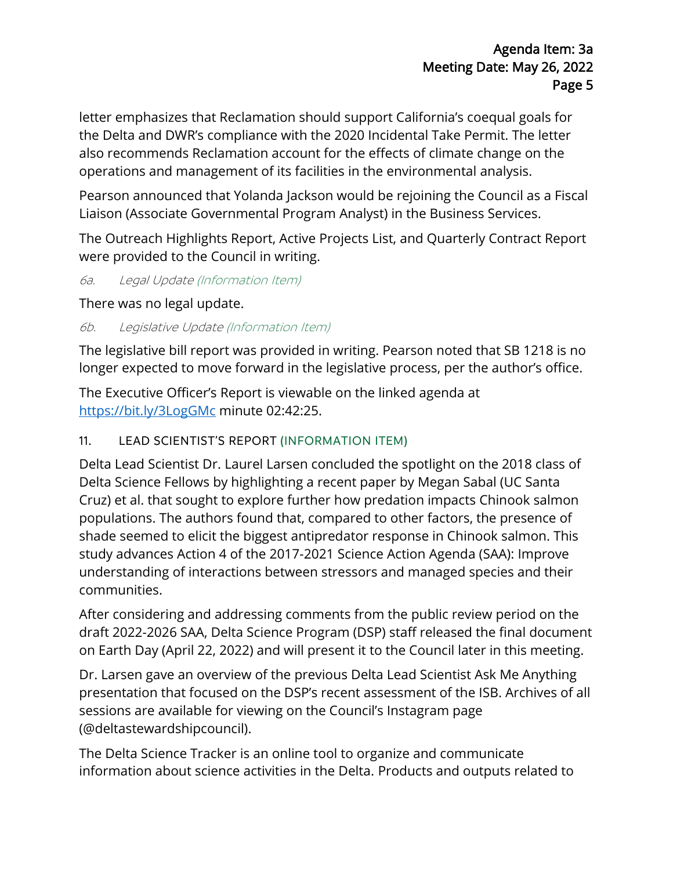letter emphasizes that Reclamation should support California's coequal goals for the Delta and DWR's compliance with the 2020 Incidental Take Permit. The letter also recommends Reclamation account for the effects of climate change on the operations and management of its facilities in the environmental analysis.

Pearson announced that Yolanda Jackson would be rejoining the Council as a Fiscal Liaison (Associate Governmental Program Analyst) in the Business Services.

The Outreach Highlights Report, Active Projects List, and Quarterly Contract Report were provided to the Council in writing.

6a. Legal Update (Information Item)

There was no legal update.

6b. Legislative Update (Information Item)

The legislative bill report was provided in writing. Pearson noted that SB 1218 is no longer expected to move forward in the legislative process, per the author's office.

The Executive Officer's Report is viewable on the linked agenda at <https://bit.ly/3LogGMc> minute 02:42:25.

### 11. LEAD SCIENTIST'S REPORT (INFORMATION ITEM)

Delta Lead Scientist Dr. Laurel Larsen concluded the spotlight on the 2018 class of Delta Science Fellows by highlighting a recent paper by Megan Sabal (UC Santa Cruz) et al. that sought to explore further how predation impacts Chinook salmon populations. The authors found that, compared to other factors, the presence of shade seemed to elicit the biggest antipredator response in Chinook salmon. This study advances Action 4 of the 2017-2021 Science Action Agenda (SAA): Improve understanding of interactions between stressors and managed species and their communities.

After considering and addressing comments from the public review period on the draft 2022-2026 SAA, Delta Science Program (DSP) staff released the final document on Earth Day (April 22, 2022) and will present it to the Council later in this meeting.

Dr. Larsen gave an overview of the previous Delta Lead Scientist Ask Me Anything presentation that focused on the DSP's recent assessment of the ISB. Archives of all sessions are available for viewing on the Council's Instagram page (@deltastewardshipcouncil).

The Delta Science Tracker is an online tool to organize and communicate information about science activities in the Delta. Products and outputs related to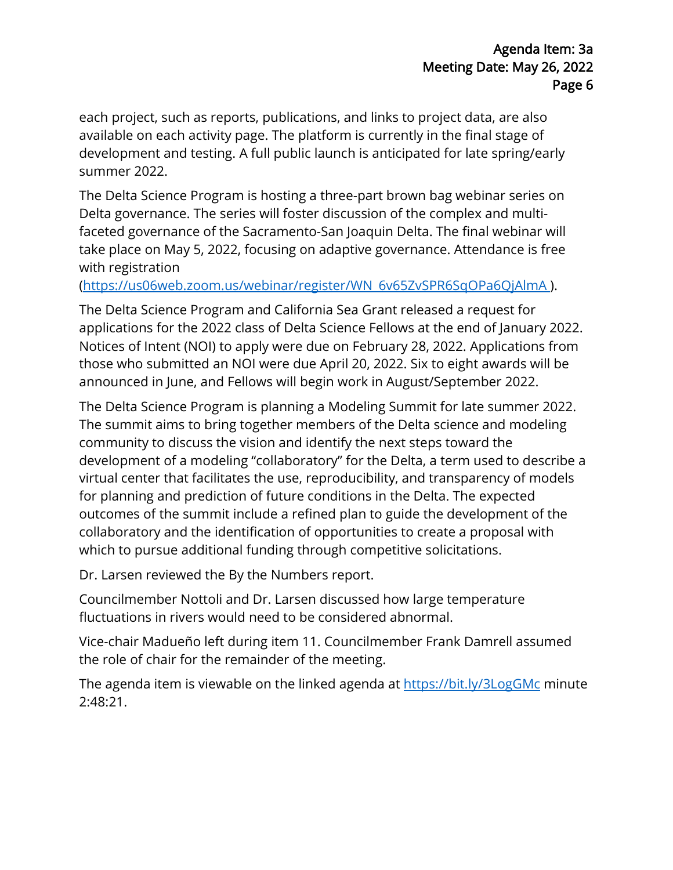each project, such as reports, publications, and links to project data, are also available on each activity page. The platform is currently in the final stage of development and testing. A full public launch is anticipated for late spring/early summer 2022.

The Delta Science Program is hosting a three-part brown bag webinar series on Delta governance. The series will foster discussion of the complex and multifaceted governance of the Sacramento-San Joaquin Delta. The final webinar will take place on May 5, 2022, focusing on adaptive governance. Attendance is free with registration

[\(https://us06web.zoom.us/webinar/register/WN\\_6v65ZvSPR6SqOPa6QjAlmA \)](https://us06web.zoom.us/webinar/register/WN_6v65ZvSPR6SqOPa6QjAlmA).

The Delta Science Program and California Sea Grant released a request for applications for the 2022 class of Delta Science Fellows at the end of January 2022. Notices of Intent (NOI) to apply were due on February 28, 2022. Applications from those who submitted an NOI were due April 20, 2022. Six to eight awards will be announced in June, and Fellows will begin work in August/September 2022.

The Delta Science Program is planning a Modeling Summit for late summer 2022. The summit aims to bring together members of the Delta science and modeling community to discuss the vision and identify the next steps toward the development of a modeling "collaboratory" for the Delta, a term used to describe a virtual center that facilitates the use, reproducibility, and transparency of models for planning and prediction of future conditions in the Delta. The expected outcomes of the summit include a refined plan to guide the development of the collaboratory and the identification of opportunities to create a proposal with which to pursue additional funding through competitive solicitations.

Dr. Larsen reviewed the By the Numbers report.

Councilmember Nottoli and Dr. Larsen discussed how large temperature fluctuations in rivers would need to be considered abnormal.

Vice-chair Madueño left during item 11. Councilmember Frank Damrell assumed the role of chair for the remainder of the meeting.

The agenda item is viewable on the linked agenda at<https://bit.ly/3LogGMc> minute 2:48:21.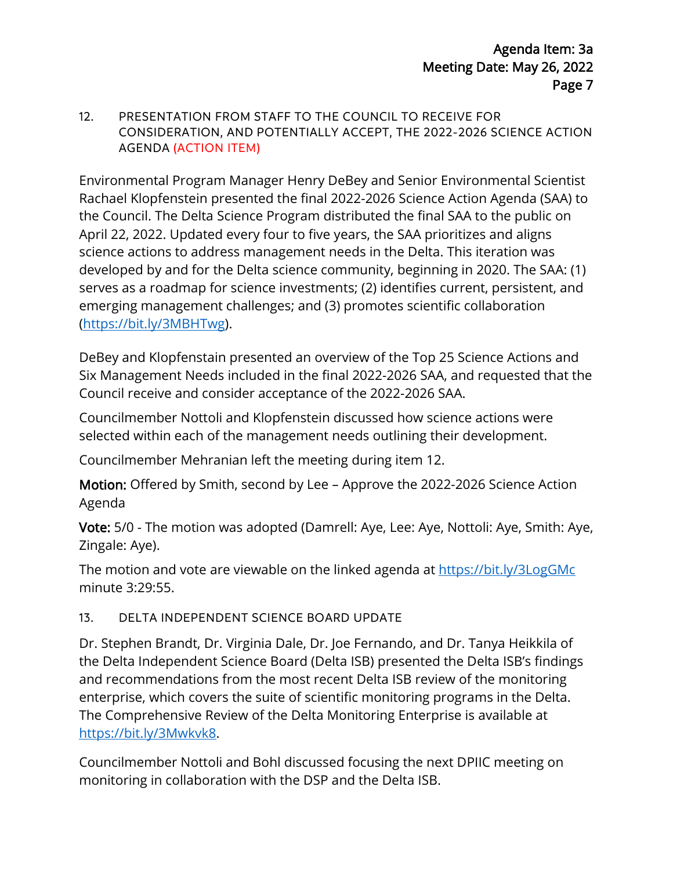#### 12. PRESENTATION FROM STAFF TO THE COUNCIL TO RECEIVE FOR CONSIDERATION, AND POTENTIALLY ACCEPT, THE 2022-2026 SCIENCE ACTION AGENDA (ACTION ITEM)

Environmental Program Manager Henry DeBey and Senior Environmental Scientist Rachael Klopfenstein presented the final 2022-2026 Science Action Agenda (SAA) to the Council. The Delta Science Program distributed the final SAA to the public on April 22, 2022. Updated every four to five years, the SAA prioritizes and aligns science actions to address management needs in the Delta. This iteration was developed by and for the Delta science community, beginning in 2020. The SAA: (1) serves as a roadmap for science investments; (2) identifies current, persistent, and emerging management challenges; and (3) promotes scientific collaboration [\(https://bit.ly/3MBHTwg\)](https://bit.ly/3MBHTwg).

DeBey and Klopfenstain presented an overview of the Top 25 Science Actions and Six Management Needs included in the final 2022-2026 SAA, and requested that the Council receive and consider acceptance of the 2022-2026 SAA.

Councilmember Nottoli and Klopfenstein discussed how science actions were selected within each of the management needs outlining their development.

Councilmember Mehranian left the meeting during item 12.

Motion: Offered by Smith, second by Lee – Approve the 2022-2026 Science Action Agenda

Vote: 5/0 - The motion was adopted (Damrell: Aye, Lee: Aye, Nottoli: Aye, Smith: Aye, Zingale: Aye).

The motion and vote are viewable on the linked agenda at<https://bit.ly/3LogGMc> minute 3:29:55.

#### 13. DELTA INDEPENDENT SCIENCE BOARD UPDATE

Dr. Stephen Brandt, Dr. Virginia Dale, Dr. Joe Fernando, and Dr. Tanya Heikkila of the Delta Independent Science Board (Delta ISB) presented the Delta ISB's findings and recommendations from the most recent Delta ISB review of the monitoring enterprise, which covers the suite of scientific monitoring programs in the Delta. The Comprehensive Review of the Delta Monitoring Enterprise is available at [https://bit.ly/3Mwkvk8.](https://bit.ly/3Mwkvk8)

Councilmember Nottoli and Bohl discussed focusing the next DPIIC meeting on monitoring in collaboration with the DSP and the Delta ISB.